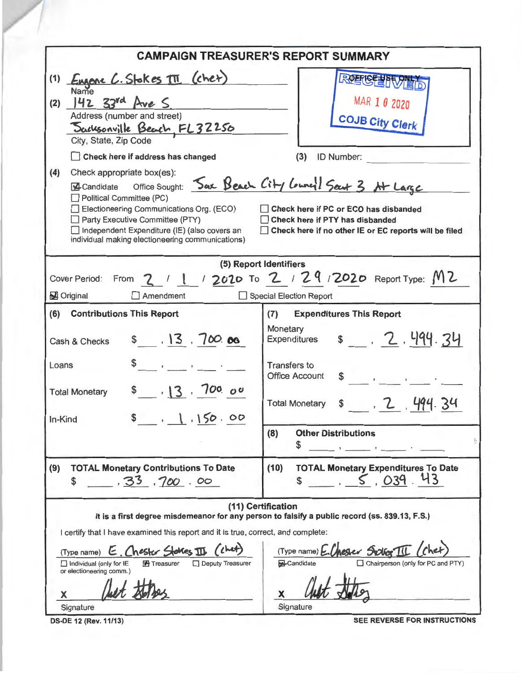|                                                                                                                                                                                                                                                                                                                                                                                                                                                               | <b>CAMPAIGN TREASURER'S REPORT SUMMARY</b>                                                                                                                                                                                    |  |  |  |  |  |  |
|---------------------------------------------------------------------------------------------------------------------------------------------------------------------------------------------------------------------------------------------------------------------------------------------------------------------------------------------------------------------------------------------------------------------------------------------------------------|-------------------------------------------------------------------------------------------------------------------------------------------------------------------------------------------------------------------------------|--|--|--|--|--|--|
| Engene C. Stokes III (chet)<br>(1)<br>Name<br>$142$ 33rd Ave S<br>(2)<br>Address (number and street)<br><u> Sacusonville Beach, FL32250</u><br>City, State, Zip Code<br>Check here if address has changed                                                                                                                                                                                                                                                     | 只见里位生男<br>MAR 1 0 2020<br><b>COJB City Clerk</b><br>(3)<br><b>ID Number:</b>                                                                                                                                                  |  |  |  |  |  |  |
| (4)<br>Check appropriate box(es):<br>A Candidate Office Sought: Sax Beach City Louncy 1 Seat 3 At Large<br>Political Committee (PC)<br>Electioneering Communications Org. (ECO)<br>Check here if PC or ECO has disbanded<br>Party Executive Committee (PTY)<br>Check here if PTY has disbanded<br>□ Independent Expenditure (IE) (also covers an<br>Check here if no other IE or EC reports will be filed<br>individual making electioneering communications) |                                                                                                                                                                                                                               |  |  |  |  |  |  |
| (5) Report Identifiers<br>Cover Period: From 2 / 1 / 2020 To 2 / 29 / 2020 Report Type: M2<br>Original<br>Amendment<br>Special Election Report                                                                                                                                                                                                                                                                                                                |                                                                                                                                                                                                                               |  |  |  |  |  |  |
| <b>Contributions This Report</b><br>(6)<br>\$13.700.08<br>Cash & Checks<br>the contract of the contract of<br>Loans<br>\$13, 700.00<br><b>Total Monetary</b>                                                                                                                                                                                                                                                                                                  | <b>Expenditures This Report</b><br>(7)<br>Monetary<br>\$ 2.494.34<br><b>Expenditures</b><br><b>Transfers to</b><br><b>Office Account</b><br>$\mathbf{r}$ and $\mathbf{r}$                                                     |  |  |  |  |  |  |
| 1, 150.00<br>in-Kind                                                                                                                                                                                                                                                                                                                                                                                                                                          | \$7, 7, 494.34<br><b>Total Monetary</b><br><b>Other Distributions</b><br>(8)<br>升<br>\$                                                                                                                                       |  |  |  |  |  |  |
| <b>TOTAL Monetary Contributions To Date</b><br>(9)<br>33,700.00<br>\$                                                                                                                                                                                                                                                                                                                                                                                         | <b>TOTAL Monetary Expenditures To Date</b><br>(10)<br>5.039.43<br>\$                                                                                                                                                          |  |  |  |  |  |  |
| I certify that I have examined this report and it is true, correct, and complete:<br>(kht)<br>E. Chester Stakes III<br>(Type name)<br><b>TH</b> Treasurer<br>Deputy Treasurer<br>Individual (only for IE<br>or electioneering comm.)<br>х<br>Signature                                                                                                                                                                                                        | (11) Certification<br>It is a first degree misdemeanor for any person to falsify a public record (ss. 839.13, F.S.)<br>(Type name) E.Chester Stolber III<br>Candidate<br>Chairperson (only for PC and PTY)<br>X.<br>Signature |  |  |  |  |  |  |

DS-DE 12 (Rev. 11/13) SEE REVERSE FOR INSTRUCTIONS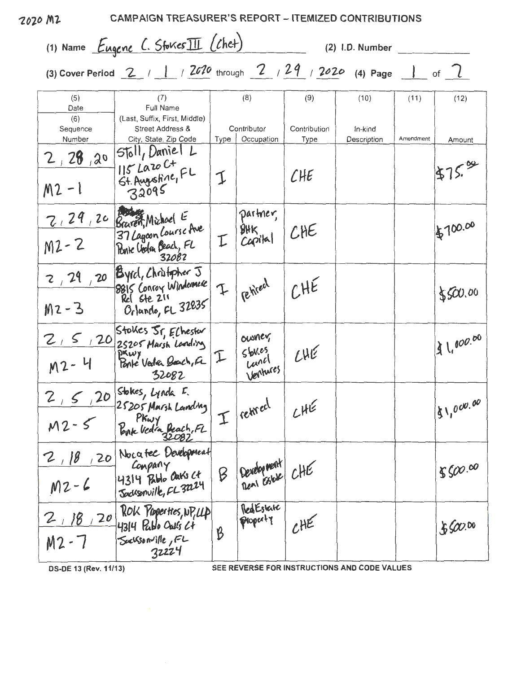|                         | (1) Name Eugene C. Stokes III (Chet)                                                   |                |                                         |                      | (2) I.D. Number        |           |             |
|-------------------------|----------------------------------------------------------------------------------------|----------------|-----------------------------------------|----------------------|------------------------|-----------|-------------|
|                         | (3) Cover Period 2 / 1 / 2020 through 2 / 29 / 2020 (4) Page 1 of $7$                  |                |                                         |                      |                        |           |             |
| (5)<br>Date<br>(6)      | (7)<br>Full Name<br>(Last, Suffix, First, Middle)                                      |                | (8)                                     | (9)                  | (10)                   | (11)      | (12)        |
| Sequence<br>Number      | Street Address &<br>City, State, Zip Code                                              | Type           | Contributor<br>Occupation               | Contribution<br>Type | In-kind<br>Description | Amendment | Amount      |
|                         | 2, 28, 20 Stoll, Daniel L<br>M2-1 St. Augustine, FL<br>32095                           |                |                                         | CHE                  |                        |           | 475.00      |
| $M2 - 2$                | 2, 29, 20 Braven, Michael E<br>M2-2 Braven, Michael E<br>M2-2 Bone Uoden Beach, FL     |                | partner,<br>$BHK$<br>Capital            | CHE                  |                        |           | \$700.00    |
| $M2 - 3$                | $\frac{2}{129}$ , 20 Byrd, Christopher J<br>8815 Conroy Windomese<br>Orlando, FL 32835 | $\mathfrak{I}$ | rehited                                 | CHE                  |                        |           | \$500.00    |
| $M2 - 4$                | 2, 5, 20 Stokes Sr, Echester<br>M2- 4 Bravy<br>M2- 4 Ponte Vedea Beach, FL<br>32082    | I              | ousner<br>$5$ bles<br>Land<br>Vertures. | CHE                  |                        |           | 13 1,000.00 |
| 2, 5, 20<br>$M2 - 5$    | Stokes, Lynda F.<br>25205 Marsh Landing<br>PKwy<br>Ponte Vedia Beach, FL               |                | $I $ retreel                            | CHE                  |                        |           | 81,000.00   |
| 2,18<br>120<br>$M2 - 6$ | Nocatec Development<br>Conpany<br>4314 Publo Cars Ct.<br>Sacksonville, FL 3224         | $\beta$        | Development<br>Dent Estate CHE          |                      |                        |           | 8500.00     |
| 2,18,20<br>$M2 - 7$     | ROK Properties, NP, LLP<br>$4314$ Pablo Oaks $24$<br>Sucksonville, FL                  | B              | RedEstate<br>property                   | CHE                  |                        |           | 86000       |

DS-DE 13 (Rev. 11/13)

SEE REVERSE FOR INSTRUCTIONS AND CODE VALUES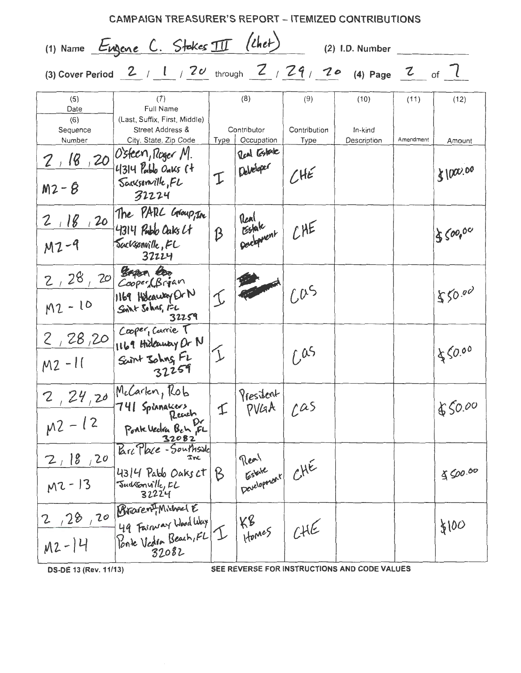| <b>CAMPAIGN TREASURER'S REPORT - ITEMIZED CONTRIBUTIONS</b> |                                                                                       |               |                               |                             |                                              |           |          |
|-------------------------------------------------------------|---------------------------------------------------------------------------------------|---------------|-------------------------------|-----------------------------|----------------------------------------------|-----------|----------|
|                                                             | (1) Name Eugene C. Stakes III (Chet)                                                  |               |                               |                             | (2) I.D. Number                              |           |          |
|                                                             | (3) Cover Period 2 / 1 / 20 through $2$ / $29$ / $29$ / $3$ Page 2 of 7               |               |                               |                             |                                              |           |          |
| (5)<br>Date                                                 | (7)<br>Full Name                                                                      |               | (8)                           | (9)                         | (10)                                         | (11)      | (12)     |
| (6)<br>Sequence<br>Number                                   | (Last, Suffix, First, Middle)<br>Street Address &<br>City, State, Zip Code            | Type          | Contributor<br>Occupation     | Contribution<br><b>Type</b> | In-kind<br>Description                       | Amendment | Amount   |
| $M2 - 8$                                                    | $2, 18, 20$ O'steen, Roger M.<br>$4314$ Pablo Oaks $(4)$<br>Sacksonville, FL<br>32224 | I             | Real Estate<br>Deletoper      | CHE                         |                                              |           | 81000.00 |
| 2,18,20<br>$M2 - 9$                                         | The PARL Group, In<br>4314 Rubb Caks Lt<br>Sacksonville, FL<br>32224                  | B             | Tenl<br>Estate<br>Development | CHE                         |                                              |           | 850000   |
| 2,28,20<br>$M2 - 10$                                        | Began Boo<br>Cooper (Brian<br>1169 Holcausey Or N<br>Soint Solans, 12<br>32259        |               |                               | 605                         |                                              |           | 550.00   |
| 2,28,20<br>$M2 - 11$                                        | Cooper, Carrie T<br>1169 Hideway Or N<br>Scritt Johns, FL<br>32259                    |               |                               | 1.05                        |                                              |           | 450.00   |
| 2, 24, 20<br>$M^2 - 12$                                     | McCarkn, Rob<br>741 Spinnakers<br>Reach<br>Ponk Vedra Bch FL                          | $\mathcal{I}$ | President<br>PVLAA            | 20s                         |                                              |           | 850.00   |
| 2, 18, 20<br>$M2 - 13$                                      | Barc Place - Southside<br>Inc<br>43/4 Pablo Oaks Ct<br>Judssonville, EL<br>32224      | B             | Estate CHE                    |                             |                                              |           | 800.00   |
| 2,28,20<br>$M2 - 14$                                        | Brarent, Michael E<br>49 Fairway Wood Way<br>Ponte Vedra Beach, FL<br>32082           |               | KR<br>Homes                   | CHE                         |                                              |           | \$100    |
| DS-DE 13 (Rev. 11/13)                                       |                                                                                       |               |                               |                             | SEE REVERSE FOR INSTRUCTIONS AND CODE VALUES |           |          |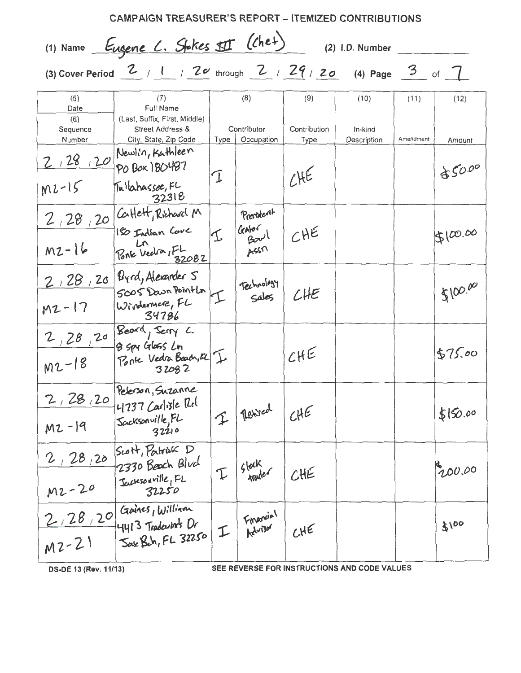| <b>CAMPAIGN TREASURER'S REPORT – ITEMIZED CONTRIBUTIONS</b> |                                                                                    |                 |                                    |                      |                                              |           |          |  |
|-------------------------------------------------------------|------------------------------------------------------------------------------------|-----------------|------------------------------------|----------------------|----------------------------------------------|-----------|----------|--|
| (1) Name Eugene L. Stokes II (Chet)<br>(2) I.D. Number      |                                                                                    |                 |                                    |                      |                                              |           |          |  |
|                                                             | (3) Cover Period $2$ / 1 / $20$ through $2$ / $29$ / $20$ (4) Page $3$ of $7$      |                 |                                    |                      |                                              |           |          |  |
| (5)<br>Date                                                 | (7)<br>Full Name                                                                   |                 | (8)                                | (9)                  | (10)                                         | (11)      | (12)     |  |
| (6)<br>Sequence<br>Number                                   | (Last, Suffix, First, Middle)<br>Street Address &<br>City, State, Zip Code         | Type            | Contributor<br>Occupation          | Contribution<br>Type | In-kind<br>Description                       | Amendment | Amount   |  |
|                                                             | $2/28/20$ Mewlin, Kathleen                                                         |                 |                                    | 74E                  |                                              |           | 85000    |  |
| $M2-15$                                                     | Tulahassee, FL<br>32318                                                            | I               |                                    |                      |                                              |           |          |  |
| $M2 - 16$                                                   | 2, 28, 20 Catlett, Richard M<br>180 Indian Cove<br>Ln<br>Ponie Vedra 152082        | $ \mathcal{I} $ | President<br>Galor<br>Boul<br>A550 | CHE                  |                                              |           | 5100.00  |  |
|                                                             |                                                                                    |                 |                                    |                      |                                              |           |          |  |
| $M2 - 17$                                                   | 2, 28, 20 Pyrd, Alexander 5<br>SOOS Down Point La I<br>34786                       |                 | Technology                         | LHE                  |                                              |           | 5100.00  |  |
| $M2 - 18$                                                   | 2, 28, 20 Beard, Jerry L.<br>Ponte Vedra Boach, El I                               |                 |                                    | CHE                  |                                              |           | \$75.00  |  |
|                                                             | Pelerson, Suzanne<br>2, 28, 20 4737 Carlisle Rel<br>Sacksonville, FL               |                 | I Resident CHE                     |                      |                                              |           | \$150.00 |  |
| $M2 - 19$                                                   | 32210<br>Scott, Patrick D                                                          |                 |                                    |                      |                                              |           |          |  |
| 2, 28, 20<br>$M2 - 20$                                      | 2330 Beach Blue<br>Jacksonville, FL<br>32250                                       |                 | $I\sqrt{\frac{5100k}{1000}}$ CHE   |                      |                                              |           | 200.00   |  |
| $M2 - 21$                                                   | 2, 28, 20 Gaines, William<br>Sak Beh, FL 32250 I Financial<br>-14413 Tradewinds Dr |                 |                                    | CHE                  |                                              |           | 3100     |  |
| DS-DE 13 (Rev. 11/13)                                       |                                                                                    |                 |                                    |                      | SEE REVERSE FOR INSTRUCTIONS AND CODE VALUES |           |          |  |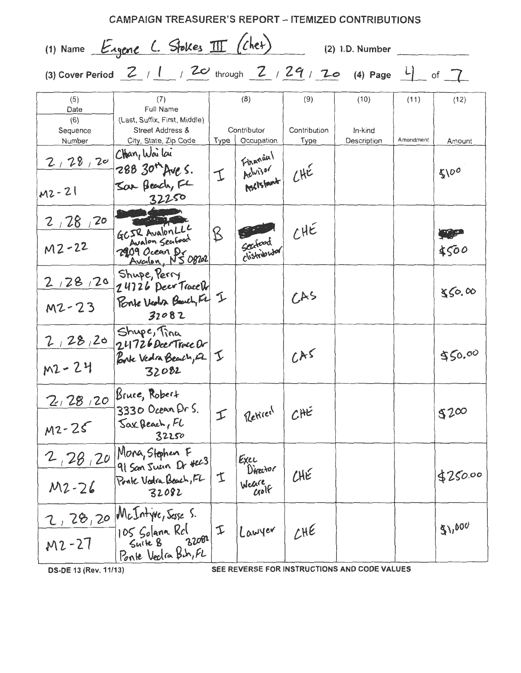| <b>CAMPAIGN TREASURER'S REPORT - ITEMIZED CONTRIBUTIONS</b><br>(1) Name Engene L. Stokes III (chet) |                                                                                                                                                                                                                                                                                                                                                                                                |             |                                     |                      |                                              |           |            |
|-----------------------------------------------------------------------------------------------------|------------------------------------------------------------------------------------------------------------------------------------------------------------------------------------------------------------------------------------------------------------------------------------------------------------------------------------------------------------------------------------------------|-------------|-------------------------------------|----------------------|----------------------------------------------|-----------|------------|
|                                                                                                     | (3) Cover Period $\begin{array}{c c c c c c c c c} \hline \end{array}$ / $\begin{array}{c c c c} \hline \end{array}$ / $\begin{array}{c c c} \hline \end{array}$ / $\begin{array}{c c c} \hline \end{array}$ / $\begin{array}{c c c} \hline \end{array}$ / $\begin{array}{c c c} \hline \end{array}$ / $\begin{array}{c c} \hline \end{array}$ / $\begin{array}{c c} \hline \end{array}$ / $\$ |             |                                     |                      | (2) I.D. Number                              |           |            |
| (5)<br>Date                                                                                         | (7)<br><b>Full Name</b>                                                                                                                                                                                                                                                                                                                                                                        |             | (8)                                 | (9)                  | (10)                                         | (11)      | (12)       |
| (6)<br>Sequence<br>Number                                                                           | (Last, Suffix, First, Middle)<br>Street Address &<br>City, State, Zip Code                                                                                                                                                                                                                                                                                                                     | <b>Type</b> | Contributor<br>Occupation           | Contribution<br>Type | In-kind<br>Description                       | Amendment | Amount     |
| 2, 28, 20 Chan, Wailai<br>$M2 - 21$                                                                 | 288 30 <sup>t</sup> Ave s.<br>Sar Beach, FL                                                                                                                                                                                                                                                                                                                                                    | I           | Financial<br>Achisor<br>Members (HE |                      |                                              |           | 5100       |
| 2,28,20<br>$M2 - 22$                                                                                | 32250<br>GCJR AvalonLLL<br>2909 Ocean Dr 08202                                                                                                                                                                                                                                                                                                                                                 | B           | Sectord                             | LHE                  |                                              |           | \$500      |
| 2,28,20<br>$M2 - 23$                                                                                | Shupe, Perry<br>24726 Deer Trace Dr<br>Ponte Vedra Beach, Fel I<br>32082                                                                                                                                                                                                                                                                                                                       |             |                                     | A5                   |                                              |           | 850.00     |
| 2,28,20<br>$M2 - 24$                                                                                | Shupe, Tina<br>24726 Dec Trace Dr<br>32082                                                                                                                                                                                                                                                                                                                                                     | I           |                                     | LHS                  |                                              |           | \$50.00    |
| 2/28/20<br>$M2 - 25$                                                                                | Bruce, Robert<br>3330 Ocean Dr S.<br>Jax Beach, FL<br>32250                                                                                                                                                                                                                                                                                                                                    | I           | Retired                             | CHE                  |                                              |           | $$2\infty$ |
| 2,28,20<br>$M2 - 26$                                                                                | Mona, Stophen F<br>91 San Juan Dr #223<br>Ponte Voolra Beach, FL<br>32082                                                                                                                                                                                                                                                                                                                      | 工           | Exec<br>Director<br>Weare<br>Golf   | CHE                  |                                              |           | \$250.00   |
| $M2 - 27$                                                                                           | 2, 28, 20 McIntyre, Sesse S.<br>105 Solana Rcl<br>Suite B <sub>3</sub><br>320821<br>Ponte Veclin B.h.FL                                                                                                                                                                                                                                                                                        | I           | Lawyer                              | CHE                  |                                              |           | 51,000     |
| DS-DE 13 (Rev. 11/13)                                                                               |                                                                                                                                                                                                                                                                                                                                                                                                |             |                                     |                      | SEE REVERSE FOR INSTRUCTIONS AND CODE VALUES |           |            |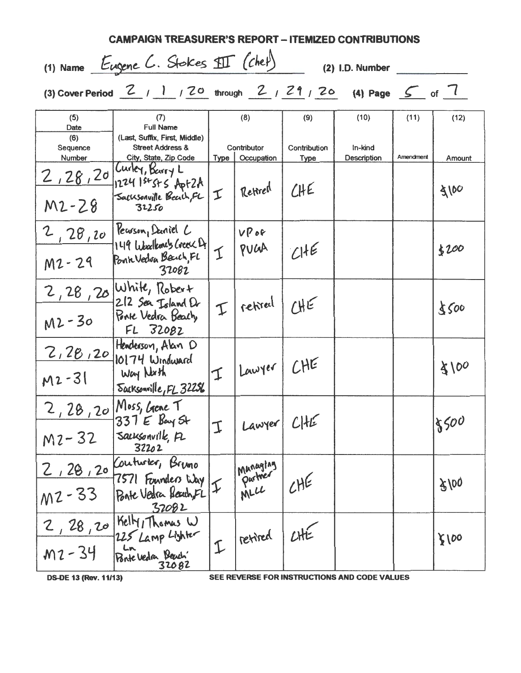| CAMPAIGN TREASURER'S REPORT – ITEMIZED CONTRIBUTIONS    |                                                                                                                                                                                                                                                                        |                            |                                  |                      |                        |           |        |
|---------------------------------------------------------|------------------------------------------------------------------------------------------------------------------------------------------------------------------------------------------------------------------------------------------------------------------------|----------------------------|----------------------------------|----------------------|------------------------|-----------|--------|
| (1) Name Eugene C. Stokes SII (chef)<br>(2) I.D. Number |                                                                                                                                                                                                                                                                        |                            |                                  |                      |                        |           |        |
|                                                         | (3) Cover Period $\begin{array}{ccc} 2 & 1 & 1 & 20 \\ 1 & 1 & 2 & 0 \\ 0 & 0 & 0 & 0 \end{array}$ through $\begin{array}{ccc} 2 & 2 & 2 & 20 \\ 1 & 2 & 0 & 0 \\ 0 & 0 & 0 & 0 \end{array}$ Page $\begin{array}{ccc} 6 & 7 & 1 \\ 1 & 2 & 0 \\ 0 & 0 & 0 \end{array}$ |                            |                                  |                      |                        |           |        |
| (5)<br>Date                                             | (7)<br><b>Full Name</b>                                                                                                                                                                                                                                                |                            | (8)                              | (9)                  | (10)                   | (11)      | (12)   |
| (6)<br>Sequence<br>Number                               | (Last, Suffix, First, Middle)<br><b>Street Address &amp;</b><br>City, State, Zip Code                                                                                                                                                                                  |                            | Contributor<br>Type   Occupation | Contribution<br>Type | In-kind<br>Description | Amendment | Amount |
| 2,28,20<br>$M2 - 28$                                    | Curley, Barry L<br>1224 1st St S Apt 2A<br>Sacksonville Beach, FL<br>32250                                                                                                                                                                                             | I                          | Rettred                          | CHE                  |                        |           | 3100   |
| 2,28,20<br>$M2 - 29$                                    | Keuson, Daniel C<br>149 Libralemets Creek Di<br>Ponte Vedon Back, FL<br>32082                                                                                                                                                                                          | I                          | VPC<br>PULAA                     | CHE                  |                        |           | \$100  |
| $M2 - 30$                                               | 2, 28, 20 White, Robert<br>212 Sea Island Dr<br>Ponte Vedra Beach<br>FL 32082                                                                                                                                                                                          | I                          | retired                          | $H_{\epsilon}$       |                        |           | 8500   |
| 2, 28, 20<br>$M2 - 31$                                  | Henderson, Alan D<br>$10174$ Windward<br>Way North<br>Sacksonville, FL 32256                                                                                                                                                                                           |                            | II   Lawyer   CHE                |                      |                        |           | 8100   |
| $M2 - 32$                                               | 2, 28, 20 Moss, Gene T<br>$337E$ Bay St<br>Sacksonville, PL<br>32202                                                                                                                                                                                                   | I                          | Lawyer!                          | CHE                  |                        |           | 18500  |
| $M2 - 33$                                               | 2, 28, 20 Contrator, Bruno<br>7571 Founders Way<br>Bate Vedra Beach FL<br>32082                                                                                                                                                                                        | $\boldsymbol{\mathcal{I}}$ | I Munaging<br>Purtner<br>MLC     | CHE                  |                        |           | 8/00   |
| 2, 28, 20<br>$M2 - 34$                                  | Kelly, Thomas W<br>225 Lamp Lighter<br>Ln<br>Ponte Vedra Beach'<br>32082                                                                                                                                                                                               |                            | II retired                       | CHE                  |                        |           | 8100   |

**DS-DE 13 (Rev. 11/13)** 

SEE REVERSE FOR INSTRUCTIONS AND CODE VALUES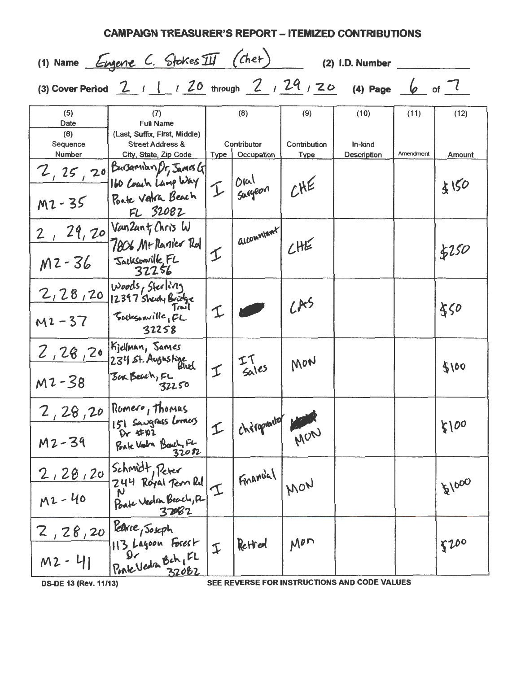| <b>CAMPAIGN TREASURER'S REPORT - ITEMIZED CONTRIBUTIONS</b> |                                                                                                             |                |                           |                             |                        |           |        |
|-------------------------------------------------------------|-------------------------------------------------------------------------------------------------------------|----------------|---------------------------|-----------------------------|------------------------|-----------|--------|
|                                                             | (1) Name Engene C. Stokes III (chet)                                                                        |                |                           |                             | (2) I.D. Number        |           |        |
|                                                             | (3) Cover Period $2$ / 1 / 20 through $2$ / 29 / 20 (4) Page 6 of 7                                         |                |                           |                             |                        |           |        |
| (5)<br>Date                                                 | (7)<br><b>Full Name</b>                                                                                     |                | (8)                       | (9)                         | (10)                   | (11)      | (12)   |
| (6)<br>Sequence<br><b>Number</b>                            | (Last, Suffix, First, Middle)<br><b>Street Address &amp;</b><br>City, State, Zip Code                       | Type           | Contributor<br>Occupation | Contribution<br><b>Type</b> | In-kind<br>Description | Amendment | Amount |
| M2-35                                                       | 2, 25, 20 Busamian Pr, James G<br>160 Coach Lang Way<br><b>Poste Vatra Beach</b>                            | I              | Oral<br>Surgeon           | CHE                         |                        |           | 4150   |
|                                                             | FL 32082                                                                                                    |                |                           |                             |                        |           |        |
| M2-36                                                       | $2$ , $29$ , $20 \sqrt{\tan 2an \frac{1}{1} \cdot \ln 3}$<br>7806 M+ Ranier Rol<br>Sacksonville FL<br>32256 | I              | accountant/               | CHE                         |                        |           | \$150  |
| $M2 - 37$                                                   | 2, 28, 20 Woods, Sterling<br>Sachsonville, FL<br>32258                                                      |                |                           | LR5                         |                        |           | \$50   |
| $M2 - 38$                                                   | 2, 28, 20 Siellman, Sames<br>234 St. Augustine<br>Sur Beach, FL<br>32250                                    | I              | $I6$ $I6$                 | MON                         |                        |           | 3100   |
| 2,28,20<br>M2-39                                            | Romero, Thomas<br>151 Sougrass Lorres<br>Ponte Vestra Beach, FL<br>32082                                    | I              | I chitapoutof             | MON                         |                        |           | 5100   |
| $M2 - 40$                                                   | 2, 28, 20 Schmidt, Peter<br>244 Royal Terri Rd<br>Ponte Vedra Beach, FL<br>37082                            | T              | Financial                 | MON                         |                        |           | 121000 |
| $2,28,20$ Pearce, Soseph<br>$M2 - 41$                       | 113 Layoon Forest<br>Dr<br>Ponte Vedra Bch, FL<br>32082                                                     | $\mathfrak{I}$ | Retrod                    | $M^{p}$                     |                        |           | \$100  |

**DS-DE 13 (Rev. 11/13)** 

SEE REVERSE FOR INSTRUCTIONS AND CODE VALUES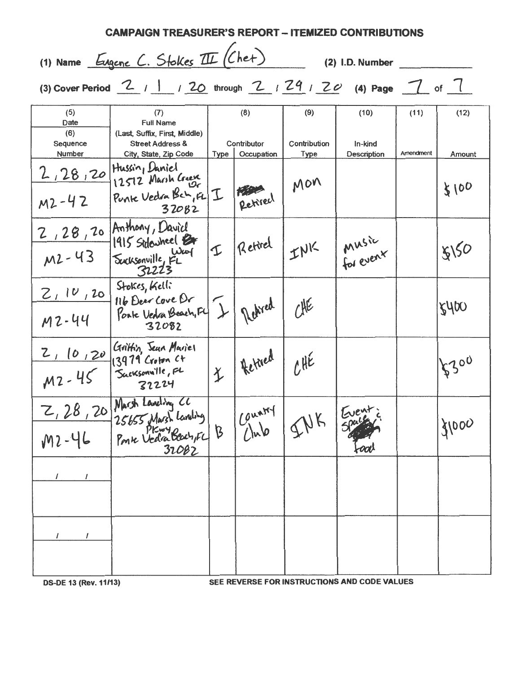| <b>CAMPAIGN TREASURER'S REPORT – ITEMIZED CONTRIBUTIONS</b> |                                                                                       |               |                                                   |                             |                                              |           |        |  |
|-------------------------------------------------------------|---------------------------------------------------------------------------------------|---------------|---------------------------------------------------|-----------------------------|----------------------------------------------|-----------|--------|--|
|                                                             | (1) Name Eugene C. Stokes III (Chet)<br>(2) I.D. Number                               |               |                                                   |                             |                                              |           |        |  |
|                                                             | (3) Cover Period $2$ / 1 / 20 through $2$ / $29$ / $20$ (4) Page $7$ of $7$           |               |                                                   |                             |                                              |           |        |  |
| (5)<br>Date                                                 | (7)<br><b>Full Name</b>                                                               |               | (8)                                               | (9)                         | (10)                                         | (11)      | (12)   |  |
| (6)<br>Sequence<br><b>Number</b>                            | (Last, Suffix, First, Middle)<br><b>Street Address &amp;</b><br>City, State, Zip Code | Type          | Contributor<br>Occupation                         | Contribution<br><b>Type</b> | In-kind<br>Description                       | Amendment | Amount |  |
| 2, 28, 20 Hussin, Daniel                                    | 12512 Marsh Creek                                                                     |               |                                                   | Mon                         |                                              |           | 8100   |  |
| $M2 - 42$                                                   | Punke Vedra Beh, EL<br>32082                                                          | I             | Retired                                           |                             |                                              |           |        |  |
|                                                             | 2, 28, 20 Anthony, David<br>1915 Sidewheel Br                                         |               | II Retirel                                        | INK                         | I Music<br>for event                         |           | 8150   |  |
| $M2 - 43$                                                   | Eucksonville, FL<br>32223                                                             |               |                                                   |                             |                                              |           |        |  |
| 2, 10, 20                                                   | Stokes, Kelli<br>116 Deer Cove Dr                                                     |               |                                                   |                             |                                              |           |        |  |
| M2-44                                                       | Ponte Vedra Beach, F4<br>32082                                                        | $\mathcal{L}$ | Redired                                           | $7$ HE                      |                                              |           | 8400   |  |
|                                                             | Z, 10, 20 Grittin, Seun Mariel                                                        |               | I Retired                                         | LHE                         |                                              |           | 5300   |  |
| $M2 - 45$                                                   | Sacksonville, FL<br>32224                                                             |               |                                                   |                             |                                              |           |        |  |
|                                                             |                                                                                       |               | $\lceil \frac{\text{Couard}}{\text{Coul}} \rceil$ |                             |                                              |           |        |  |
|                                                             | 2, 28, 20 Marsh Laveling 20<br>M2-46 Ponse Veda Bour, FL<br>32082                     |               |                                                   |                             | -ool                                         |           | 31000  |  |
|                                                             |                                                                                       |               |                                                   |                             |                                              |           |        |  |
|                                                             |                                                                                       |               |                                                   |                             |                                              |           |        |  |
| 1                                                           |                                                                                       |               |                                                   |                             |                                              |           |        |  |
|                                                             |                                                                                       |               |                                                   |                             |                                              |           |        |  |
| <b>DS-DE 13 (Rev. 11/13)</b>                                |                                                                                       |               |                                                   |                             | SEE REVERSE FOR INSTRUCTIONS AND CODE VALUES |           |        |  |